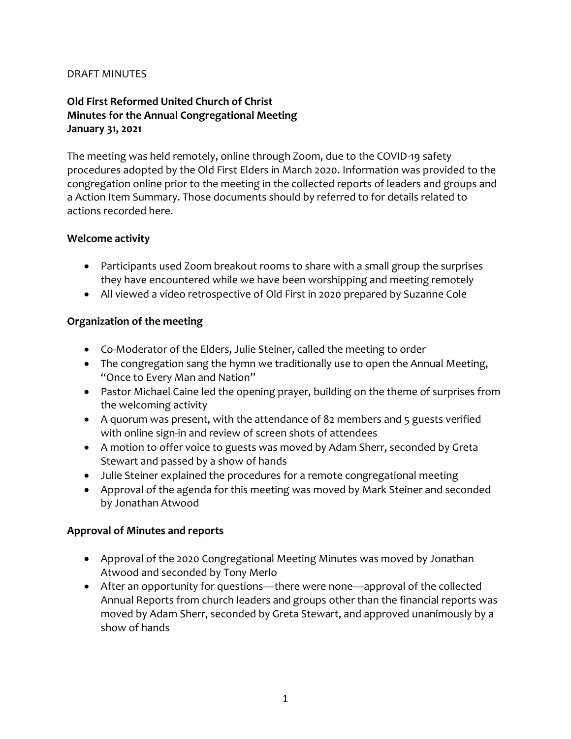### DRAFT MINUTES

### **Old First Reformed United Church of Christ Minutes for the Annual Congregational Meeting January 31, 2021**

The meeting was held remotely, online through Zoom, due to the COVID-19 safety procedures adopted by the Old First Elders in March 2020. Information was provided to the congregation online prior to the meeting in the collected reports of leaders and groups and a Action Item Summary. Those documents should by referred to for details related to actions recorded here.

#### **Welcome activity**

- Participants used Zoom breakout rooms to share with a small group the surprises they have encountered while we have been worshipping and meeting remotely
- All viewed a video retrospective of Old First in 2020 prepared by Suzanne Cole

### **Organization of the meeting**

- Co-Moderator of the Elders, Julie Steiner, called the meeting to order
- The congregation sang the hymn we traditionally use to open the Annual Meeting, "Once to Every Man and Nation"
- Pastor Michael Caine led the opening prayer, building on the theme of surprises from the welcoming activity
- A quorum was present, with the attendance of 82 members and 5 guests verified with online sign-in and review of screen shots of attendees
- A motion to offer voice to guests was moved by Adam Sherr, seconded by Greta Stewart and passed by a show of hands
- Julie Steiner explained the procedures for a remote congregational meeting
- Approval of the agenda for this meeting was moved by Mark Steiner and seconded by Jonathan Atwood

### **Approval of Minutes and reports**

- Approval of the 2020 Congregational Meeting Minutes was moved by Jonathan Atwood and seconded by Tony Merlo
- After an opportunity for questions—there were none—approval of the collected Annual Reports from church leaders and groups other than the financial reports was moved by Adam Sherr, seconded by Greta Stewart, and approved unanimously by a show of hands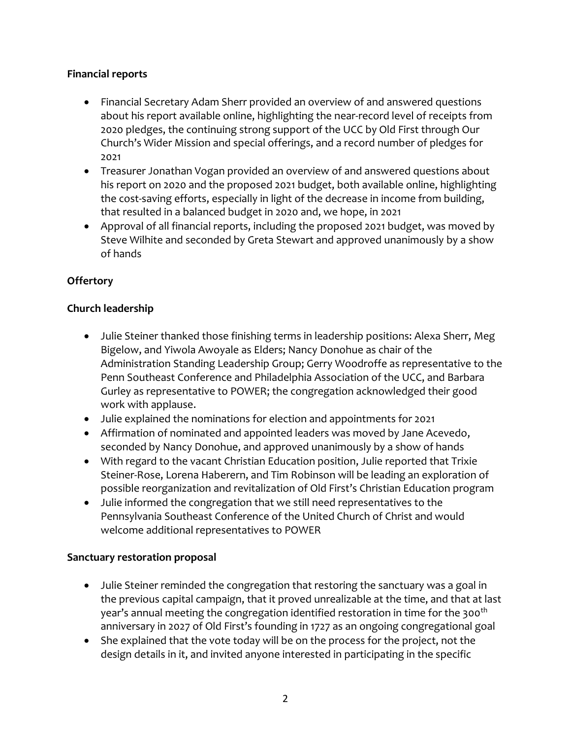### **Financial reports**

- Financial Secretary Adam Sherr provided an overview of and answered questions about his report available online, highlighting the near-record level of receipts from 2020 pledges, the continuing strong support of the UCC by Old First through Our Church's Wider Mission and special offerings, and a record number of pledges for 2021
- Treasurer Jonathan Vogan provided an overview of and answered questions about his report on 2020 and the proposed 2021 budget, both available online, highlighting the cost-saving efforts, especially in light of the decrease in income from building, that resulted in a balanced budget in 2020 and, we hope, in 2021
- Approval of all financial reports, including the proposed 2021 budget, was moved by Steve Wilhite and seconded by Greta Stewart and approved unanimously by a show of hands

# **Offertory**

## **Church leadership**

- Julie Steiner thanked those finishing terms in leadership positions: Alexa Sherr, Meg Bigelow, and Yiwola Awoyale as Elders; Nancy Donohue as chair of the Administration Standing Leadership Group; Gerry Woodroffe as representative to the Penn Southeast Conference and Philadelphia Association of the UCC, and Barbara Gurley as representative to POWER; the congregation acknowledged their good work with applause.
- Julie explained the nominations for election and appointments for 2021
- Affirmation of nominated and appointed leaders was moved by Jane Acevedo, seconded by Nancy Donohue, and approved unanimously by a show of hands
- With regard to the vacant Christian Education position, Julie reported that Trixie Steiner-Rose, Lorena Haberern, and Tim Robinson will be leading an exploration of possible reorganization and revitalization of Old First's Christian Education program
- Julie informed the congregation that we still need representatives to the Pennsylvania Southeast Conference of the United Church of Christ and would welcome additional representatives to POWER

### **Sanctuary restoration proposal**

- Julie Steiner reminded the congregation that restoring the sanctuary was a goal in the previous capital campaign, that it proved unrealizable at the time, and that at last year's annual meeting the congregation identified restoration in time for the 300<sup>th</sup> anniversary in 2027 of Old First's founding in 1727 as an ongoing congregational goal
- She explained that the vote today will be on the process for the project, not the design details in it, and invited anyone interested in participating in the specific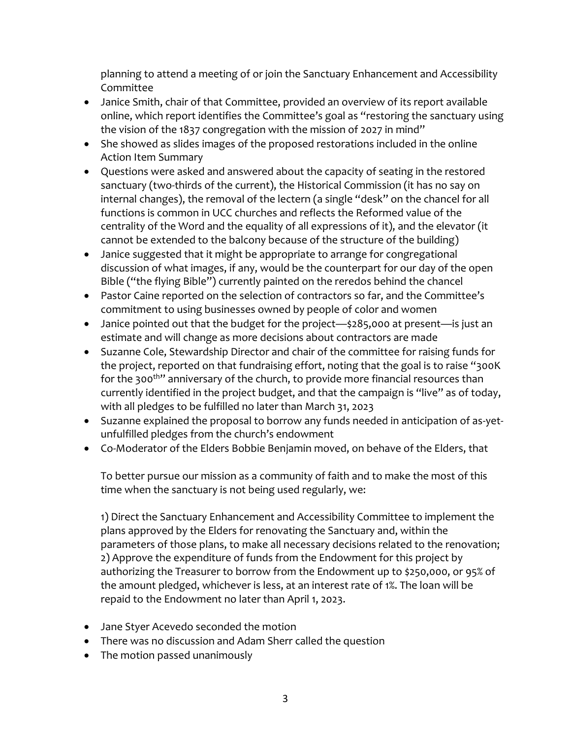planning to attend a meeting of or join the Sanctuary Enhancement and Accessibility Committee

- Janice Smith, chair of that Committee, provided an overview of its report available online, which report identifies the Committee's goal as "restoring the sanctuary using the vision of the 1837 congregation with the mission of 2027 in mind"
- She showed as slides images of the proposed restorations included in the online Action Item Summary
- Questions were asked and answered about the capacity of seating in the restored sanctuary (two-thirds of the current), the Historical Commission (it has no say on internal changes), the removal of the lectern (a single "desk" on the chancel for all functions is common in UCC churches and reflects the Reformed value of the centrality of the Word and the equality of all expressions of it), and the elevator (it cannot be extended to the balcony because of the structure of the building)
- Janice suggested that it might be appropriate to arrange for congregational discussion of what images, if any, would be the counterpart for our day of the open Bible ("the flying Bible") currently painted on the reredos behind the chancel
- Pastor Caine reported on the selection of contractors so far, and the Committee's commitment to using businesses owned by people of color and women
- Janice pointed out that the budget for the project—\$285,000 at present—is just an estimate and will change as more decisions about contractors are made
- Suzanne Cole, Stewardship Director and chair of the committee for raising funds for the project, reported on that fundraising effort, noting that the goal is to raise "300K for the 300<sup>th</sup>" anniversary of the church, to provide more financial resources than currently identified in the project budget, and that the campaign is "live" as of today, with all pledges to be fulfilled no later than March 31, 2023
- Suzanne explained the proposal to borrow any funds needed in anticipation of as-yetunfulfilled pledges from the church's endowment
- Co-Moderator of the Elders Bobbie Benjamin moved, on behave of the Elders, that

To better pursue our mission as a community of faith and to make the most of this time when the sanctuary is not being used regularly, we:

1) Direct the Sanctuary Enhancement and Accessibility Committee to implement the plans approved by the Elders for renovating the Sanctuary and, within the parameters of those plans, to make all necessary decisions related to the renovation; 2) Approve the expenditure of funds from the Endowment for this project by authorizing the Treasurer to borrow from the Endowment up to \$250,000, or 95% of the amount pledged, whichever is less, at an interest rate of 1%. The loan will be repaid to the Endowment no later than April 1, 2023.

- Jane Styer Acevedo seconded the motion
- There was no discussion and Adam Sherr called the question
- The motion passed unanimously